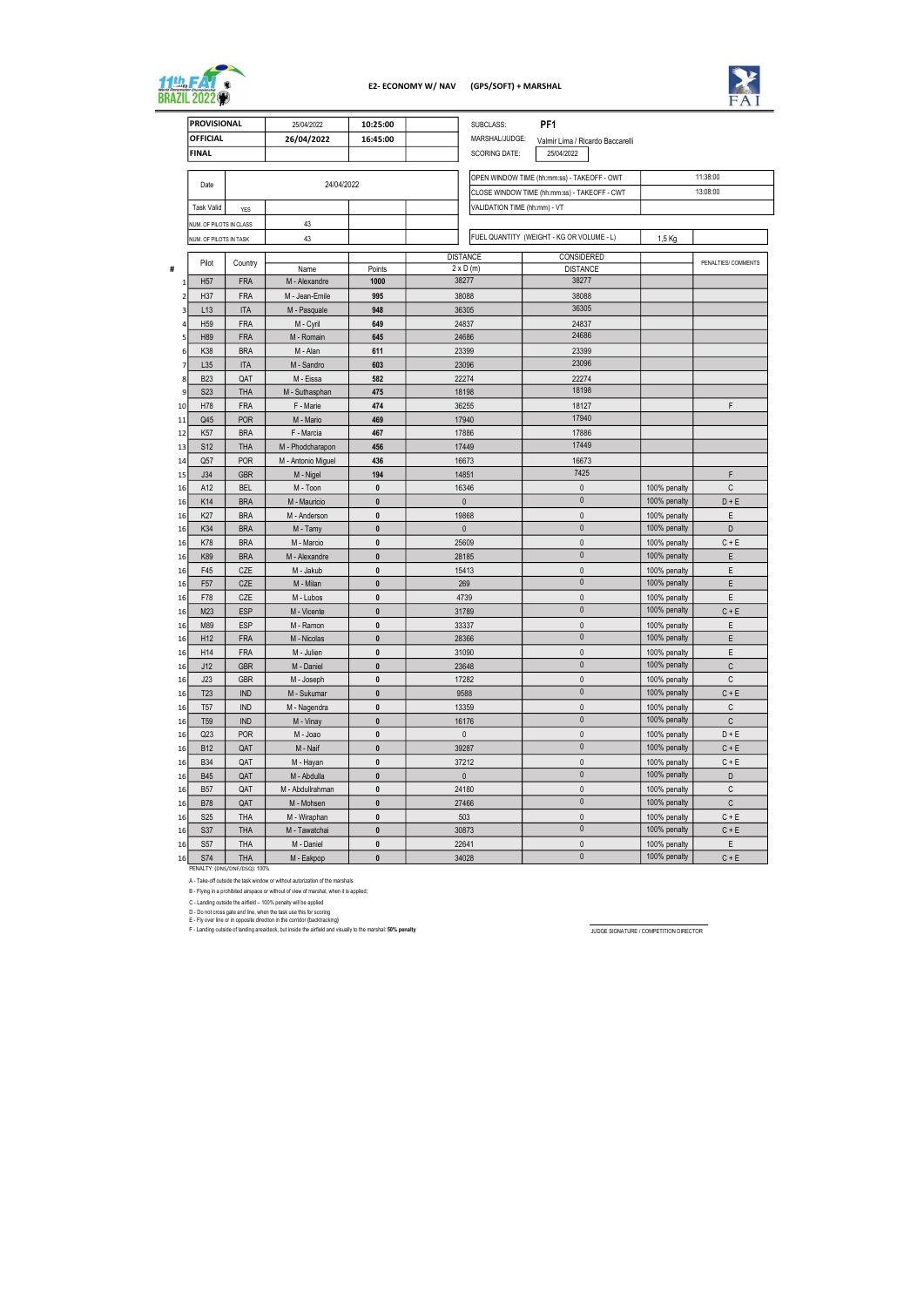|                | <b>PROVISIONAL</b>            |                   | 25/04/2022                  | 10:25:00       | SUBCLASS:                                    | PF <sub>1</sub>                  |  |              |                     |
|----------------|-------------------------------|-------------------|-----------------------------|----------------|----------------------------------------------|----------------------------------|--|--------------|---------------------|
|                | <b>OFFICIAL</b>               |                   | 26/04/2022<br>16:45:00      |                | MARSHAL/JUDGE:                               | Valmir Lima / Ricardo Baccarelli |  |              |                     |
|                | <b>FINAL</b>                  |                   |                             |                | <b>SCORING DATE:</b>                         | 25/04/2022                       |  |              |                     |
|                |                               |                   |                             |                |                                              |                                  |  |              |                     |
|                | Date                          |                   | 24/04/2022                  |                | OPEN WINDOW TIME (hh:mm:ss) - TAKEOFF - OWT  |                                  |  |              | 11:38:00            |
|                |                               |                   |                             |                | CLOSE WINDOW TIME (hh:mm:ss) - TAKEOFF - CWT |                                  |  |              | 13:08:00            |
|                | <b>Task Valid</b>             | <b>YES</b>        |                             |                | VALIDATION TIME (hh:mm) - VT                 |                                  |  |              |                     |
|                | NUM. OF PILOTS IN CLASS       |                   | 43                          |                |                                              |                                  |  |              |                     |
|                | NUM. OF PILOTS IN TASK        |                   | 43                          |                | FUEL QUANTITY (WEIGHT - KG OR VOLUME - L)    |                                  |  | 1,5 Kg       |                     |
|                |                               |                   |                             |                |                                              |                                  |  |              |                     |
|                | Pilot                         | Country           |                             |                | <b>DISTANCE</b><br>$2 \times D$ (m)          | CONSIDERED                       |  |              | PENALTIES/ COMMENTS |
| #              | H <sub>57</sub>               | <b>FRA</b>        | Name<br>M - Alexandre       | Points<br>1000 | 38277                                        | <b>DISTANCE</b><br>38277         |  |              |                     |
| 1              |                               |                   |                             |                |                                              |                                  |  |              |                     |
| $\overline{2}$ | H37                           | <b>FRA</b>        | M - Jean-Emile              | 995            | 38088                                        | 38088<br>36305                   |  |              |                     |
| 3              | L13                           | <b>ITA</b>        | M - Pasquale                | 948            | 36305                                        |                                  |  |              |                     |
| 4              | H <sub>59</sub>               | <b>FRA</b>        | M - Cyril                   | 649            | 24837                                        | 24837<br>24686                   |  |              |                     |
| 5              | H89                           | <b>FRA</b>        | M - Romain                  | 645            | 24686                                        |                                  |  |              |                     |
| 6              | K38                           | <b>BRA</b>        | M - Alan                    | 611            | 23399                                        | 23399<br>23096                   |  |              |                     |
| 7              | L35                           | <b>ITA</b>        | M - Sandro                  | 603            | 23096<br>22274                               | 22274                            |  |              |                     |
| 8<br>9         | <b>B23</b><br>S <sub>23</sub> | QAT<br><b>THA</b> | M - Eissa<br>M - Suthasphan | 582<br>475     | 18198                                        | 18198                            |  |              |                     |
| 10             | H78                           | <b>FRA</b>        | F - Marie                   | 474            | 36255                                        | 18127                            |  |              | F                   |
| 11             | Q45                           | <b>POR</b>        | M - Mario                   | 469            | 17940                                        | 17940                            |  |              |                     |
| 12             | K <sub>57</sub>               | <b>BRA</b>        | F - Marcia                  | 467            | 17886                                        | 17886                            |  |              |                     |
| 13             | S <sub>12</sub>               | <b>THA</b>        | M - Phodcharapon            | 456            | 17449                                        | 17449                            |  |              |                     |
| 14             | Q57                           | <b>POR</b>        | M - Antonio Miguel          | 436            | 16673                                        | 16673                            |  |              |                     |
| 15             | J34                           | <b>GBR</b>        | M - Nigel                   | 194            | 14851                                        | 7425                             |  |              | F                   |
| 16             | A12                           | <b>BEL</b>        | M - Toon                    | $\pmb{0}$      | 16346                                        | 0                                |  | 100% penalty | C                   |
| 16             | K <sub>14</sub>               | <b>BRA</b>        | M - Mauricio                | $\mathbf{0}$   | $\mathbf{0}$                                 | $\mathbf{0}$                     |  | 100% penalty | $D + E$             |
| 16             | K <sub>27</sub>               | <b>BRA</b>        | M - Anderson                | $\mathbf{0}$   | 19868                                        | 0                                |  | 100% penalty | E                   |
| 16             | K34                           | <b>BRA</b>        | M - Tamy                    | $\pmb{0}$      | $\mathbf{0}$                                 | $\mathbf{0}$                     |  | 100% penalty | D                   |
| 16             | K78                           | <b>BRA</b>        | M - Marcio                  | $\mathbf{0}$   | 25609                                        | 0                                |  | 100% penalty | $C + E$             |
| 16             | K89                           | <b>BRA</b>        | M - Alexandre               | $\mathbf{0}$   | 28185                                        | $\mathbf{0}$                     |  | 100% penalty | E                   |
| 16             | F45                           | <b>CZE</b>        | M - Jakub                   | 0              | 15413                                        | 0                                |  | 100% penalty | E                   |
| 16             | F <sub>57</sub>               | <b>CZE</b>        | M - Milan                   | $\bf{0}$       | 269                                          | $\mathbf{0}$                     |  | 100% penalty | E                   |
| 16             | F78                           | <b>CZE</b>        | M - Lubos                   | 0              | 4739                                         | 0                                |  | 100% penalty | E                   |
| 16             | M23                           | <b>ESP</b>        | M - Vicente                 | 0              | 31789                                        | $\pmb{0}$                        |  | 100% penalty | $C + E$             |
| 16             | M89                           | <b>ESP</b>        | M - Ramon                   | $\pmb{0}$      | 33337                                        | 0                                |  | 100% penalty | Ε                   |
| 16             | H <sub>12</sub>               | <b>FRA</b>        | M - Nicolas                 | 0              | 28366                                        | $\pmb{0}$                        |  | 100% penalty | E                   |
| 16             | H14                           | <b>FRA</b>        | M - Julien                  | $\pmb{0}$      | 31090                                        | $\pmb{0}$                        |  | 100% penalty | Ε                   |
| 16             | J12                           | <b>GBR</b>        | M - Daniel                  | $\pmb{0}$      | 23648                                        | $\pmb{0}$                        |  | 100% penalty | С                   |
| 16             | J23                           | <b>GBR</b>        | M - Joseph                  | $\pmb{0}$      | 17282                                        | $\pmb{0}$                        |  | 100% penalty | C                   |
| 16             | T <sub>23</sub>               | <b>IND</b>        | M - Sukumar                 | $\pmb{0}$      | 9588                                         | $\pmb{0}$                        |  | 100% penalty | $C + E$             |
| 16             | T <sub>57</sub>               | <b>IND</b>        | M - Nagendra                | $\pmb{0}$      | 13359                                        | $\pmb{0}$                        |  | 100% penalty | С                   |
| 16             | T <sub>59</sub>               | <b>IND</b>        | M - Vinay                   | $\pmb{0}$      | 16176                                        | $\pmb{0}$                        |  | 100% penalty | C                   |
| 16             | Q23                           | <b>POR</b>        | M - Joao                    | $\pmb{0}$      | $\mathbf{0}$                                 | 0                                |  | 100% penalty | $D + E$             |
| 16             | <b>B12</b>                    | QAT               | M - Naif                    | $\pmb{0}$      | 39287                                        | $\mathbf{0}$                     |  | 100% penalty | $C + E$             |
| 16             | <b>B34</b>                    | QAT               | M - Hayan                   | $\pmb{0}$      | 37212                                        | $\pmb{0}$                        |  | 100% penalty | $C + E$             |
| 16             | <b>B45</b>                    | QAT               | M - Abdulla                 | $\pmb{0}$      | $\mathbf 0$                                  | $\pmb{0}$                        |  | 100% penalty | D                   |
| 16             | <b>B57</b>                    | QAT               | M - Abdullrahman            | $\pmb{0}$      | 24180                                        | $\pmb{0}$                        |  | 100% penalty | С                   |
| 16             | <b>B78</b>                    | QAT               | M - Mohsen                  | $\pmb{0}$      | 27466                                        | $\pmb{0}$                        |  | 100% penalty | C                   |
| 16             | <b>S25</b>                    | <b>THA</b>        | M - Wiraphan                | $\pmb{0}$      | 503                                          | $\pmb{0}$                        |  | 100% penalty | $C + E$             |
| 16             | <b>S37</b>                    | <b>THA</b>        | M - Tawatchai               | $\pmb{0}$      | 30873                                        | $\pmb{0}$                        |  | 100% penalty | $C + E$             |
| 16             | <b>S57</b>                    | THA               | M - Daniel                  | $\pmb{0}$      | 22641                                        | $\pmb{0}$                        |  | 100% penalty | E.                  |
| 16             | <b>S74</b>                    | $THA$             | M - Eakpop                  | $\bf{0}$       | 34028                                        | $\pmb{0}$                        |  | 100% penalty | $C + E$             |

PENALTY: (DNS/DNF/DSQ): 100%

A - Take-off outside the task window or without autorization of the marshals

B - Flying in a prohibited airspace or without of view of marshal, when it is applied;

C - Landing outside the airfield – 100% penalty will be applied

D - Do not cross gate and line, when the task use this for scoring E - Fly over line or in opposite direction in the corridor (backtracking) \_\_\_\_\_\_\_\_\_\_\_\_\_\_\_\_\_\_\_\_\_\_\_\_\_\_\_\_\_

F - Landing outside of landing area/deck, but inside the airfield and visually to the marshal: 50% penalty JuDGE SIGNATURE / COMPETITION DIRECTOR